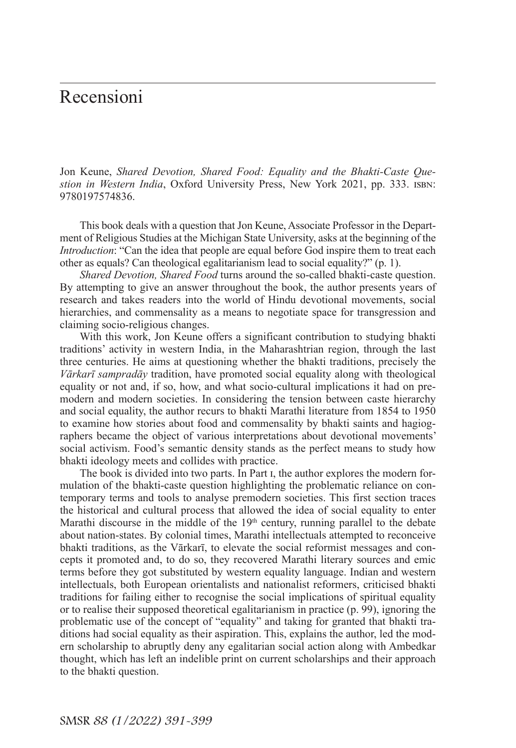Jon Keune, *Shared Devotion, Shared Food: Equality and the Bhakti-Caste Question in Western India*, Oxford University Press, New York 2021, pp. 333. isbn: 9780197574836.

This book deals with a question that Jon Keune, Associate Professor in the Department of Religious Studies at the Michigan State University, asks at the beginning of the *Introduction*: "Can the idea that people are equal before God inspire them to treat each other as equals? Can theological egalitarianism lead to social equality?" (p. 1).

*Shared Devotion, Shared Food* turns around the so-called bhakti-caste question. By attempting to give an answer throughout the book, the author presents years of research and takes readers into the world of Hindu devotional movements, social hierarchies, and commensality as a means to negotiate space for transgression and claiming socio-religious changes.

With this work, Jon Keune offers a significant contribution to studying bhakti traditions' activity in western India, in the Maharashtrian region, through the last three centuries. He aims at questioning whether the bhakti traditions, precisely the *Vārkarī sampradāy* tradition, have promoted social equality along with theological equality or not and, if so, how, and what socio-cultural implications it had on premodern and modern societies. In considering the tension between caste hierarchy and social equality, the author recurs to bhakti Marathi literature from 1854 to 1950 to examine how stories about food and commensality by bhakti saints and hagiographers became the object of various interpretations about devotional movements' social activism. Food's semantic density stands as the perfect means to study how bhakti ideology meets and collides with practice.

The book is divided into two parts. In Part i, the author explores the modern formulation of the bhakti-caste question highlighting the problematic reliance on contemporary terms and tools to analyse premodern societies. This first section traces the historical and cultural process that allowed the idea of social equality to enter Marathi discourse in the middle of the  $19<sup>th</sup>$  century, running parallel to the debate about nation-states. By colonial times, Marathi intellectuals attempted to reconceive bhakti traditions, as the Vārkarī, to elevate the social reformist messages and concepts it promoted and, to do so, they recovered Marathi literary sources and emic terms before they got substituted by western equality language. Indian and western intellectuals, both European orientalists and nationalist reformers, criticised bhakti traditions for failing either to recognise the social implications of spiritual equality or to realise their supposed theoretical egalitarianism in practice (p. 99), ignoring the problematic use of the concept of "equality" and taking for granted that bhakti traditions had social equality as their aspiration. This, explains the author, led the modern scholarship to abruptly deny any egalitarian social action along with Ambedkar thought, which has left an indelible print on current scholarships and their approach to the bhakti question.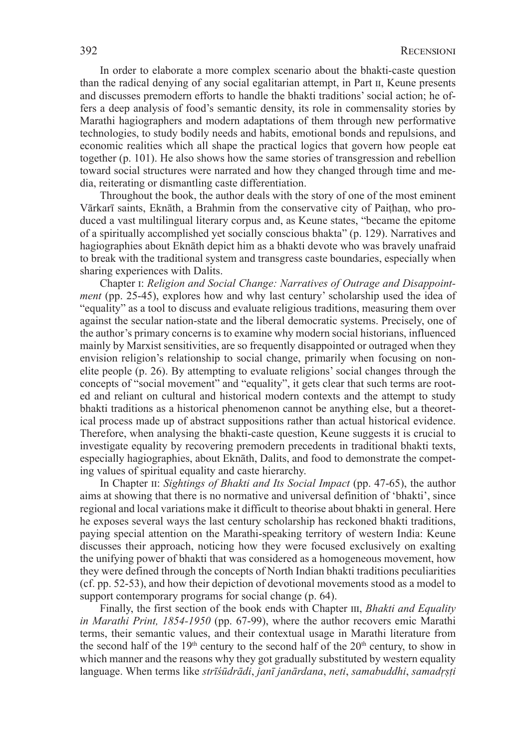In order to elaborate a more complex scenario about the bhakti-caste question than the radical denying of any social egalitarian attempt, in Part ii, Keune presents and discusses premodern efforts to handle the bhakti traditions' social action; he offers a deep analysis of food's semantic density, its role in commensality stories by Marathi hagiographers and modern adaptations of them through new performative technologies, to study bodily needs and habits, emotional bonds and repulsions, and economic realities which all shape the practical logics that govern how people eat together (p. 101). He also shows how the same stories of transgression and rebellion toward social structures were narrated and how they changed through time and media, reiterating or dismantling caste differentiation.

Throughout the book, the author deals with the story of one of the most eminent Vārkarī saints, Eknāth, a Brahmin from the conservative city of Paiṭhaṇ, who produced a vast multilingual literary corpus and, as Keune states, "became the epitome of a spiritually accomplished yet socially conscious bhakta" (p. 129). Narratives and hagiographies about Eknāth depict him as a bhakti devote who was bravely unafraid to break with the traditional system and transgress caste boundaries, especially when sharing experiences with Dalits.

Chapter i: *Religion and Social Change: Narratives of Outrage and Disappointment* (pp. 25-45), explores how and why last century' scholarship used the idea of "equality" as a tool to discuss and evaluate religious traditions, measuring them over against the secular nation-state and the liberal democratic systems. Precisely, one of the author's primary concerns is to examine why modern social historians, influenced mainly by Marxist sensitivities, are so frequently disappointed or outraged when they envision religion's relationship to social change, primarily when focusing on nonelite people (p. 26). By attempting to evaluate religions' social changes through the concepts of "social movement" and "equality", it gets clear that such terms are rooted and reliant on cultural and historical modern contexts and the attempt to study bhakti traditions as a historical phenomenon cannot be anything else, but a theoretical process made up of abstract suppositions rather than actual historical evidence. Therefore, when analysing the bhakti-caste question, Keune suggests it is crucial to investigate equality by recovering premodern precedents in traditional bhakti texts, especially hagiographies, about Eknāth, Dalits, and food to demonstrate the competing values of spiritual equality and caste hierarchy.

In Chapter II: *Sightings of Bhakti and Its Social Impact* (pp. 47-65), the author aims at showing that there is no normative and universal definition of 'bhakti', since regional and local variations make it difficult to theorise about bhakti in general. Here he exposes several ways the last century scholarship has reckoned bhakti traditions, paying special attention on the Marathi-speaking territory of western India: Keune discusses their approach, noticing how they were focused exclusively on exalting the unifying power of bhakti that was considered as a homogeneous movement, how they were defined through the concepts of North Indian bhakti traditions peculiarities (cf. pp. 52-53), and how their depiction of devotional movements stood as a model to support contemporary programs for social change (p. 64).

Finally, the first section of the book ends with Chapter III, *Bhakti and Equality in Marathi Print, 1854-1950* (pp. 67-99), where the author recovers emic Marathi terms, their semantic values, and their contextual usage in Marathi literature from the second half of the  $19<sup>th</sup>$  century to the second half of the  $20<sup>th</sup>$  century, to show in which manner and the reasons why they got gradually substituted by western equality language. When terms like *strīśūdrādi*, *janī janārdana*, *neti*, *samabuddhi*, *samadṛṣṭi*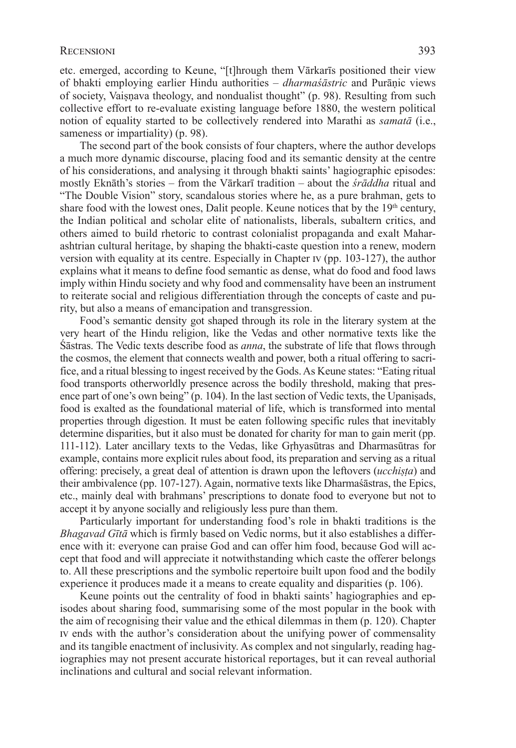etc. emerged, according to Keune, "[t]hrough them Vārkarīs positioned their view of bhakti employing earlier Hindu authorities – *dharmaśāstric* and Purāṇic views of society, Vaiṣṇava theology, and nondualist thought" (p. 98). Resulting from such collective effort to re-evaluate existing language before 1880, the western political notion of equality started to be collectively rendered into Marathi as *samatā* (i.e., sameness or impartiality) (p. 98).

The second part of the book consists of four chapters, where the author develops a much more dynamic discourse, placing food and its semantic density at the centre of his considerations, and analysing it through bhakti saints' hagiographic episodes: mostly Eknāth's stories – from the Vārkarī tradition – about the *śrāddha* ritual and "The Double Vision" story, scandalous stories where he, as a pure brahman, gets to share food with the lowest ones, Dalit people. Keune notices that by the  $19<sup>th</sup>$  century, the Indian political and scholar elite of nationalists, liberals, subaltern critics, and others aimed to build rhetoric to contrast colonialist propaganda and exalt Maharashtrian cultural heritage, by shaping the bhakti-caste question into a renew, modern version with equality at its centre. Especially in Chapter iv (pp. 103-127), the author explains what it means to define food semantic as dense, what do food and food laws imply within Hindu society and why food and commensality have been an instrument to reiterate social and religious differentiation through the concepts of caste and purity, but also a means of emancipation and transgression.

Food's semantic density got shaped through its role in the literary system at the very heart of the Hindu religion, like the Vedas and other normative texts like the Śāstras. The Vedic texts describe food as *anna*, the substrate of life that flows through the cosmos, the element that connects wealth and power, both a ritual offering to sacrifice, and a ritual blessing to ingest received by the Gods. As Keune states: "Eating ritual food transports otherworldly presence across the bodily threshold, making that presence part of one's own being" (p. 104). In the last section of Vedic texts, the Upanisads, food is exalted as the foundational material of life, which is transformed into mental properties through digestion. It must be eaten following specific rules that inevitably determine disparities, but it also must be donated for charity for man to gain merit (pp. 111-112). Later ancillary texts to the Vedas, like Gṛhyasūtras and Dharmasūtras for example, contains more explicit rules about food, its preparation and serving as a ritual offering: precisely, a great deal of attention is drawn upon the leftovers (*ucchiṣṭa*) and their ambivalence (pp. 107-127). Again, normative texts like Dharmaśāstras, the Epics, etc., mainly deal with brahmans' prescriptions to donate food to everyone but not to accept it by anyone socially and religiously less pure than them.

Particularly important for understanding food's role in bhakti traditions is the *Bhagavad Gītā* which is firmly based on Vedic norms, but it also establishes a difference with it: everyone can praise God and can offer him food, because God will accept that food and will appreciate it notwithstanding which caste the offerer belongs to. All these prescriptions and the symbolic repertoire built upon food and the bodily experience it produces made it a means to create equality and disparities (p. 106).

Keune points out the centrality of food in bhakti saints' hagiographies and episodes about sharing food, summarising some of the most popular in the book with the aim of recognising their value and the ethical dilemmas in them (p. 120). Chapter iv ends with the author's consideration about the unifying power of commensality and its tangible enactment of inclusivity. As complex and not singularly, reading hagiographies may not present accurate historical reportages, but it can reveal authorial inclinations and cultural and social relevant information.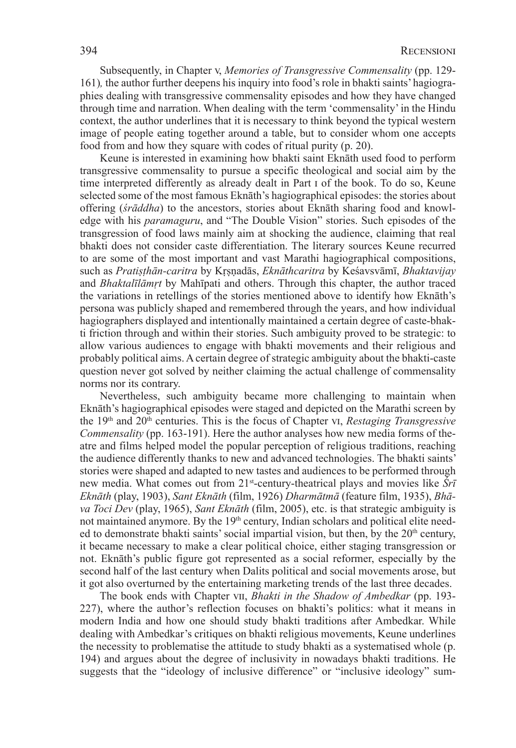Subsequently, in Chapter v, *Memories of Transgressive Commensality* (pp. 129- 161)*,* the author further deepens his inquiry into food's role in bhakti saints' hagiographies dealing with transgressive commensality episodes and how they have changed through time and narration. When dealing with the term 'commensality' in the Hindu context, the author underlines that it is necessary to think beyond the typical western image of people eating together around a table, but to consider whom one accepts food from and how they square with codes of ritual purity (p. 20).

Keune is interested in examining how bhakti saint Eknāth used food to perform transgressive commensality to pursue a specific theological and social aim by the time interpreted differently as already dealt in Part i of the book. To do so, Keune selected some of the most famous Eknāth's hagiographical episodes: the stories about offering (*śrāddha*) to the ancestors, stories about Eknāth sharing food and knowledge with his *paramaguru*, and "The Double Vision" stories. Such episodes of the transgression of food laws mainly aim at shocking the audience, claiming that real bhakti does not consider caste differentiation. The literary sources Keune recurred to are some of the most important and vast Marathi hagiographical compositions, such as *Pratiṣṭhān-caritra* by Kṛṣṇadās, *Eknāthcaritra* by Keśavsvāmī, *Bhaktavijay*  and *Bhaktalīlāmṛt* by Mahīpati and others. Through this chapter, the author traced the variations in retellings of the stories mentioned above to identify how Eknāth's persona was publicly shaped and remembered through the years, and how individual hagiographers displayed and intentionally maintained a certain degree of caste-bhakti friction through and within their stories. Such ambiguity proved to be strategic: to allow various audiences to engage with bhakti movements and their religious and probably political aims. A certain degree of strategic ambiguity about the bhakti-caste question never got solved by neither claiming the actual challenge of commensality norms nor its contrary.

Nevertheless, such ambiguity became more challenging to maintain when Eknāth's hagiographical episodes were staged and depicted on the Marathi screen by the 19<sup>th</sup> and 20<sup>th</sup> centuries. This is the focus of Chapter vi, *Restaging Transgressive Commensality* (pp. 163-191). Here the author analyses how new media forms of theatre and films helped model the popular perception of religious traditions, reaching the audience differently thanks to new and advanced technologies. The bhakti saints' stories were shaped and adapted to new tastes and audiences to be performed through new media. What comes out from 21st-century-theatrical plays and movies like *Śrī Eknāth* (play, 1903), *Sant Eknāth* (film, 1926) *Dharmātmā* (feature film, 1935), *Bhāva Toci Dev* (play, 1965), *Sant Eknāth* (film, 2005), etc. is that strategic ambiguity is not maintained anymore. By the 19<sup>th</sup> century, Indian scholars and political elite needed to demonstrate bhakti saints' social impartial vision, but then, by the  $20<sup>th</sup>$  century, it became necessary to make a clear political choice, either staging transgression or not. Eknāth's public figure got represented as a social reformer, especially by the second half of the last century when Dalits political and social movements arose, but it got also overturned by the entertaining marketing trends of the last three decades.

The book ends with Chapter vii, *Bhakti in the Shadow of Ambedkar* (pp. 193- 227), where the author's reflection focuses on bhakti's politics: what it means in modern India and how one should study bhakti traditions after Ambedkar. While dealing with Ambedkar's critiques on bhakti religious movements, Keune underlines the necessity to problematise the attitude to study bhakti as a systematised whole (p. 194) and argues about the degree of inclusivity in nowadays bhakti traditions. He suggests that the "ideology of inclusive difference" or "inclusive ideology" sum-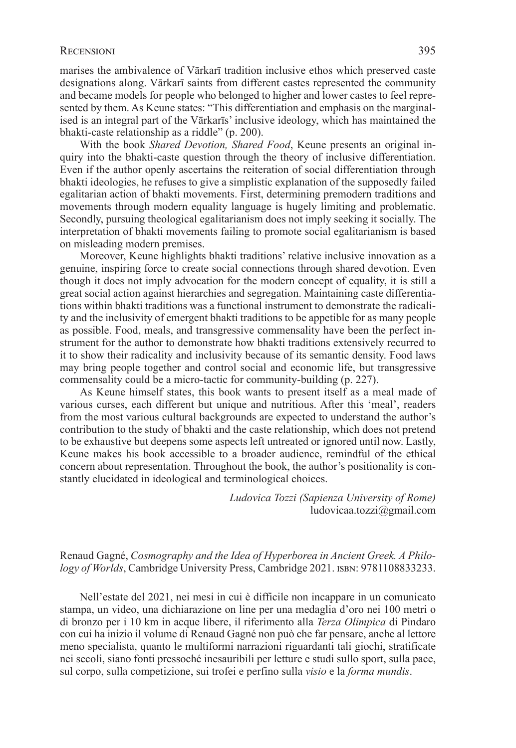marises the ambivalence of Vārkarī tradition inclusive ethos which preserved caste designations along. Vārkarī saints from different castes represented the community and became models for people who belonged to higher and lower castes to feel represented by them. As Keune states: "This differentiation and emphasis on the marginalised is an integral part of the Vārkarīs' inclusive ideology, which has maintained the bhakti-caste relationship as a riddle" (p. 200).

With the book *Shared Devotion, Shared Food*, Keune presents an original inquiry into the bhakti-caste question through the theory of inclusive differentiation. Even if the author openly ascertains the reiteration of social differentiation through bhakti ideologies, he refuses to give a simplistic explanation of the supposedly failed egalitarian action of bhakti movements. First, determining premodern traditions and movements through modern equality language is hugely limiting and problematic. Secondly, pursuing theological egalitarianism does not imply seeking it socially. The interpretation of bhakti movements failing to promote social egalitarianism is based on misleading modern premises.

Moreover, Keune highlights bhakti traditions' relative inclusive innovation as a genuine, inspiring force to create social connections through shared devotion. Even though it does not imply advocation for the modern concept of equality, it is still a great social action against hierarchies and segregation. Maintaining caste differentiations within bhakti traditions was a functional instrument to demonstrate the radicality and the inclusivity of emergent bhakti traditions to be appetible for as many people as possible. Food, meals, and transgressive commensality have been the perfect instrument for the author to demonstrate how bhakti traditions extensively recurred to it to show their radicality and inclusivity because of its semantic density. Food laws may bring people together and control social and economic life, but transgressive commensality could be a micro-tactic for community-building (p. 227).

As Keune himself states, this book wants to present itself as a meal made of various curses, each different but unique and nutritious. After this 'meal', readers from the most various cultural backgrounds are expected to understand the author's contribution to the study of bhakti and the caste relationship, which does not pretend to be exhaustive but deepens some aspects left untreated or ignored until now. Lastly, Keune makes his book accessible to a broader audience, remindful of the ethical concern about representation. Throughout the book, the author's positionality is constantly elucidated in ideological and terminological choices.

> *Ludovica Tozzi (Sapienza University of Rome)* ludovicaa.tozzi@gmail.com

# Renaud Gagné, *Cosmography and the Idea of Hyperborea in Ancient Greek. A Philo*logy of Worlds, Cambridge University Press, Cambridge 2021. ISBN: 9781108833233.

Nell'estate del 2021, nei mesi in cui è difficile non incappare in un comunicato stampa, un video, una dichiarazione on line per una medaglia d'oro nei 100 metri o di bronzo per i 10 km in acque libere, il riferimento alla *Terza Olimpica* di Pindaro con cui ha inizio il volume di Renaud Gagné non può che far pensare, anche al lettore meno specialista, quanto le multiformi narrazioni riguardanti tali giochi, stratificate nei secoli, siano fonti pressoché inesauribili per letture e studi sullo sport, sulla pace, sul corpo, sulla competizione, sui trofei e perfino sulla *visio* e la *forma mundis*.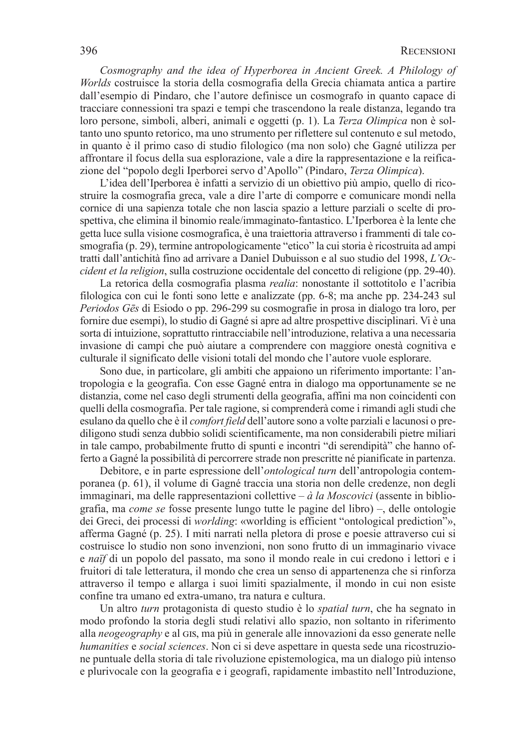*Cosmography and the idea of Hyperborea in Ancient Greek. A Philology of Worlds* costruisce la storia della cosmografia della Grecia chiamata antica a partire dall'esempio di Pindaro, che l'autore definisce un cosmografo in quanto capace di tracciare connessioni tra spazi e tempi che trascendono la reale distanza, legando tra loro persone, simboli, alberi, animali e oggetti (p. 1). La *Terza Olimpica* non è soltanto uno spunto retorico, ma uno strumento per riflettere sul contenuto e sul metodo, in quanto è il primo caso di studio filologico (ma non solo) che Gagné utilizza per affrontare il focus della sua esplorazione, vale a dire la rappresentazione e la reificazione del "popolo degli Iperborei servo d'Apollo" (Pindaro, *Terza Olimpica*).

L'idea dell'Iperborea è infatti a servizio di un obiettivo più ampio, quello di ricostruire la cosmografia greca, vale a dire l'arte di comporre e comunicare mondi nella cornice di una sapienza totale che non lascia spazio a letture parziali o scelte di prospettiva, che elimina il binomio reale/immaginato-fantastico. L'Iperborea è la lente che getta luce sulla visione cosmografica, è una traiettoria attraverso i frammenti di tale cosmografia (p. 29), termine antropologicamente "etico" la cui storia è ricostruita ad ampi tratti dall'antichità fino ad arrivare a Daniel Dubuisson e al suo studio del 1998, *L'Occident et la religion*, sulla costruzione occidentale del concetto di religione (pp. 29-40).

La retorica della cosmografia plasma *realia*: nonostante il sottotitolo e l'acribia filologica con cui le fonti sono lette e analizzate (pp. 6-8; ma anche pp. 234-243 sul *Periodos Gēs* di Esiodo o pp. 296-299 su cosmografie in prosa in dialogo tra loro, per fornire due esempi), lo studio di Gagné si apre ad altre prospettive disciplinari. Vi è una sorta di intuizione, soprattutto rintracciabile nell'introduzione, relativa a una necessaria invasione di campi che può aiutare a comprendere con maggiore onestà cognitiva e culturale il significato delle visioni totali del mondo che l'autore vuole esplorare.

Sono due, in particolare, gli ambiti che appaiono un riferimento importante: l'antropologia e la geografia. Con esse Gagné entra in dialogo ma opportunamente se ne distanzia, come nel caso degli strumenti della geografia, affini ma non coincidenti con quelli della cosmografia. Per tale ragione, si comprenderà come i rimandi agli studi che esulano da quello che è il *comfort field* dell'autore sono a volte parziali e lacunosi o prediligono studi senza dubbio solidi scientificamente, ma non considerabili pietre miliari in tale campo, probabilmente frutto di spunti e incontri "di serendipità" che hanno offerto a Gagné la possibilità di percorrere strade non prescritte né pianificate in partenza.

Debitore, e in parte espressione dell'*ontological turn* dell'antropologia contemporanea (p. 61), il volume di Gagné traccia una storia non delle credenze, non degli immaginari, ma delle rappresentazioni collettive – *à la Moscovici* (assente in bibliografia, ma *come se* fosse presente lungo tutte le pagine del libro) –, delle ontologie dei Greci, dei processi di *worlding*: «worlding is efficient "ontological prediction"», afferma Gagné (p. 25). I miti narrati nella pletora di prose e poesie attraverso cui si costruisce lo studio non sono invenzioni, non sono frutto di un immaginario vivace e *naïf* di un popolo del passato, ma sono il mondo reale in cui credono i lettori e i fruitori di tale letteratura, il mondo che crea un senso di appartenenza che si rinforza attraverso il tempo e allarga i suoi limiti spazialmente, il mondo in cui non esiste confine tra umano ed extra-umano, tra natura e cultura.

Un altro *turn* protagonista di questo studio è lo *spatial turn*, che ha segnato in modo profondo la storia degli studi relativi allo spazio, non soltanto in riferimento alla *neogeography* e al gis, ma più in generale alle innovazioni da esso generate nelle *humanities* e *social sciences*. Non ci si deve aspettare in questa sede una ricostruzione puntuale della storia di tale rivoluzione epistemologica, ma un dialogo più intenso e plurivocale con la geografia e i geografi, rapidamente imbastito nell'Introduzione,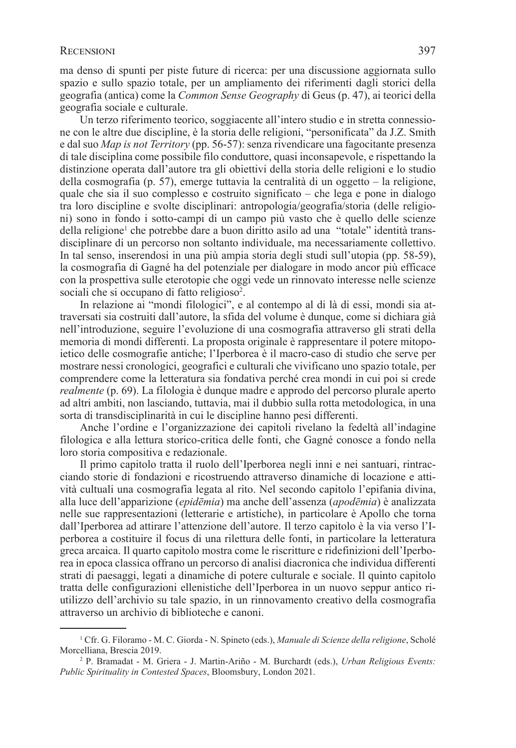ma denso di spunti per piste future di ricerca: per una discussione aggiornata sullo spazio e sullo spazio totale, per un ampliamento dei riferimenti dagli storici della geografia (antica) come la *Common Sense Geography* di Geus (p. 47), ai teorici della geografia sociale e culturale.

Un terzo riferimento teorico, soggiacente all'intero studio e in stretta connessione con le altre due discipline, è la storia delle religioni, "personificata" da J.Z. Smith e dal suo *Map is not Territory* (pp. 56-57): senza rivendicare una fagocitante presenza di tale disciplina come possibile filo conduttore, quasi inconsapevole, e rispettando la distinzione operata dall'autore tra gli obiettivi della storia delle religioni e lo studio della cosmografia (p. 57), emerge tuttavia la centralità di un oggetto – la religione, quale che sia il suo complesso e costruito significato – che lega e pone in dialogo tra loro discipline e svolte disciplinari: antropologia/geografia/storia (delle religioni) sono in fondo i sotto-campi di un campo più vasto che è quello delle scienze della religione<sup>1</sup> che potrebbe dare a buon diritto asilo ad una "totale" identità transdisciplinare di un percorso non soltanto individuale, ma necessariamente collettivo. In tal senso, inserendosi in una più ampia storia degli studi sull'utopia (pp. 58-59), la cosmografia di Gagné ha del potenziale per dialogare in modo ancor più efficace con la prospettiva sulle eterotopie che oggi vede un rinnovato interesse nelle scienze sociali che si occupano di fatto religioso<sup>2</sup>.

In relazione ai "mondi filologici", e al contempo al di là di essi, mondi sia attraversati sia costruiti dall'autore, la sfida del volume è dunque, come si dichiara già nell'introduzione, seguire l'evoluzione di una cosmografia attraverso gli strati della memoria di mondi differenti. La proposta originale è rappresentare il potere mitopoietico delle cosmografie antiche; l'Iperborea è il macro-caso di studio che serve per mostrare nessi cronologici, geografici e culturali che vivificano uno spazio totale, per comprendere come la letteratura sia fondativa perché crea mondi in cui poi si crede *realmente* (p. 69). La filologia è dunque madre e approdo del percorso plurale aperto ad altri ambiti, non lasciando, tuttavia, mai il dubbio sulla rotta metodologica, in una sorta di transdisciplinarità in cui le discipline hanno pesi differenti.

Anche l'ordine e l'organizzazione dei capitoli rivelano la fedeltà all'indagine filologica e alla lettura storico-critica delle fonti, che Gagné conosce a fondo nella loro storia compositiva e redazionale.

Il primo capitolo tratta il ruolo dell'Iperborea negli inni e nei santuari, rintracciando storie di fondazioni e ricostruendo attraverso dinamiche di locazione e attività cultuali una cosmografia legata al rito. Nel secondo capitolo l'epifania divina, alla luce dell'apparizione (*epidēmia*) ma anche dell'assenza (*apodēmia*) è analizzata nelle sue rappresentazioni (letterarie e artistiche), in particolare è Apollo che torna dall'Iperborea ad attirare l'attenzione dell'autore. Il terzo capitolo è la via verso l'Iperborea a costituire il focus di una rilettura delle fonti, in particolare la letteratura greca arcaica. Il quarto capitolo mostra come le riscritture e ridefinizioni dell'Iperborea in epoca classica offrano un percorso di analisi diacronica che individua differenti strati di paesaggi, legati a dinamiche di potere culturale e sociale. Il quinto capitolo tratta delle configurazioni ellenistiche dell'Iperborea in un nuovo seppur antico riutilizzo dell'archivio su tale spazio, in un rinnovamento creativo della cosmografia attraverso un archivio di biblioteche e canoni.

<sup>1</sup> Cfr. G. Filoramo - M. C. Giorda - N. Spineto (eds.), *Manuale di Scienze della religione*, Scholé Morcelliana, Brescia 2019.

<sup>2</sup> P. Bramadat - M. Griera - J. Martin-Ariño - M. Burchardt (eds.), *Urban Religious Events: Public Spirituality in Contested Spaces*, Bloomsbury, London 2021.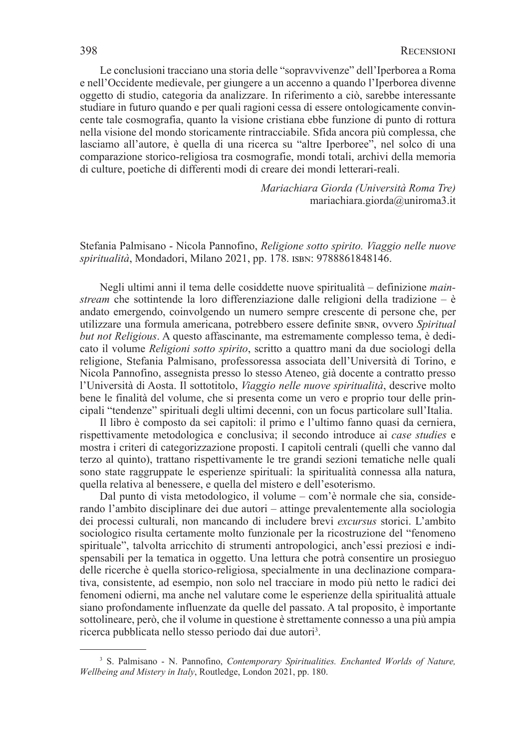Le conclusioni tracciano una storia delle "sopravvivenze" dell'Iperborea a Roma e nell'Occidente medievale, per giungere a un accenno a quando l'Iperborea divenne oggetto di studio, categoria da analizzare. In riferimento a ciò, sarebbe interessante studiare in futuro quando e per quali ragioni cessa di essere ontologicamente convincente tale cosmografia, quanto la visione cristiana ebbe funzione di punto di rottura nella visione del mondo storicamente rintracciabile. Sfida ancora più complessa, che lasciamo all'autore, è quella di una ricerca su "altre Iperboree", nel solco di una comparazione storico-religiosa tra cosmografie, mondi totali, archivi della memoria di culture, poetiche di differenti modi di creare dei mondi letterari-reali.

> *Mariachiara Giorda (Università Roma Tre)* mariachiara.giorda@uniroma3.it

Stefania Palmisano - Nicola Pannofino, *Religione sotto spirito. Viaggio nelle nuove spiritualità*, Mondadori, Milano 2021, pp. 178. isbn: 9788861848146.

Negli ultimi anni il tema delle cosiddette nuove spiritualità – definizione *mainstream* che sottintende la loro differenziazione dalle religioni della tradizione – è andato emergendo, coinvolgendo un numero sempre crescente di persone che, per utilizzare una formula americana, potrebbero essere definite sbnr, ovvero *Spiritual but not Religious*. A questo affascinante, ma estremamente complesso tema, è dedicato il volume *Religioni sotto spirito*, scritto a quattro mani da due sociologi della religione, Stefania Palmisano, professoressa associata dell'Università di Torino, e Nicola Pannofino, assegnista presso lo stesso Ateneo, già docente a contratto presso l'Università di Aosta. Il sottotitolo, *Viaggio nelle nuove spiritualità*, descrive molto bene le finalità del volume, che si presenta come un vero e proprio tour delle principali "tendenze" spirituali degli ultimi decenni, con un focus particolare sull'Italia.

Il libro è composto da sei capitoli: il primo e l'ultimo fanno quasi da cerniera, rispettivamente metodologica e conclusiva; il secondo introduce ai *case studies* e mostra i criteri di categorizzazione proposti. I capitoli centrali (quelli che vanno dal terzo al quinto), trattano rispettivamente le tre grandi sezioni tematiche nelle quali sono state raggruppate le esperienze spirituali: la spiritualità connessa alla natura, quella relativa al benessere, e quella del mistero e dell'esoterismo.

Dal punto di vista metodologico, il volume – com'è normale che sia, considerando l'ambito disciplinare dei due autori – attinge prevalentemente alla sociologia dei processi culturali, non mancando di includere brevi *excursus* storici. L'ambito sociologico risulta certamente molto funzionale per la ricostruzione del "fenomeno spirituale", talvolta arricchito di strumenti antropologici, anch'essi preziosi e indispensabili per la tematica in oggetto. Una lettura che potrà consentire un prosieguo delle ricerche è quella storico-religiosa, specialmente in una declinazione comparativa, consistente, ad esempio, non solo nel tracciare in modo più netto le radici dei fenomeni odierni, ma anche nel valutare come le esperienze della spiritualità attuale siano profondamente influenzate da quelle del passato. A tal proposito, è importante sottolineare, però, che il volume in questione è strettamente connesso a una più ampia ricerca pubblicata nello stesso periodo dai due autori<sup>3</sup>.

<sup>&</sup>lt;sup>3</sup> S. Palmisano - N. Pannofino, *Contemporary Spiritualities. Enchanted Worlds of Nature, Wellbeing and Mistery in Italy*, Routledge, London 2021, pp. 180.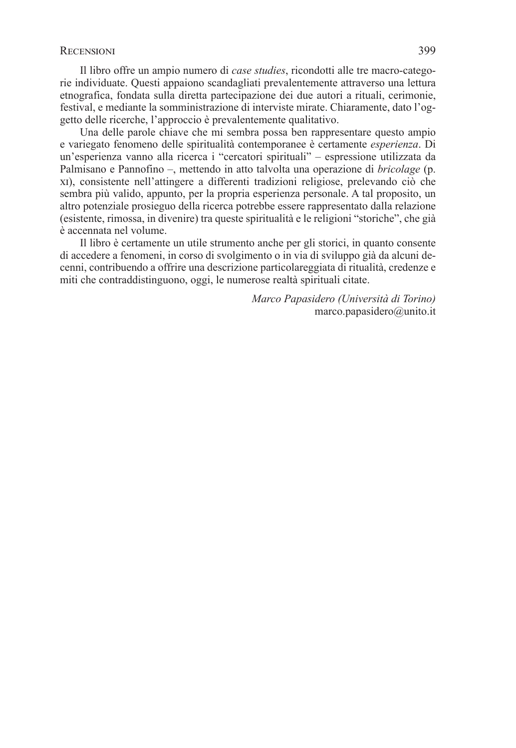Il libro offre un ampio numero di *case studies*, ricondotti alle tre macro-categorie individuate. Questi appaiono scandagliati prevalentemente attraverso una lettura etnografica, fondata sulla diretta partecipazione dei due autori a rituali, cerimonie, festival, e mediante la somministrazione di interviste mirate. Chiaramente, dato l'oggetto delle ricerche, l'approccio è prevalentemente qualitativo.

Una delle parole chiave che mi sembra possa ben rappresentare questo ampio e variegato fenomeno delle spiritualità contemporanee è certamente *esperienza*. Di un'esperienza vanno alla ricerca i "cercatori spirituali" – espressione utilizzata da Palmisano e Pannofino –, mettendo in atto talvolta una operazione di *bricolage* (p. xi), consistente nell'attingere a differenti tradizioni religiose, prelevando ciò che sembra più valido, appunto, per la propria esperienza personale. A tal proposito, un altro potenziale prosieguo della ricerca potrebbe essere rappresentato dalla relazione (esistente, rimossa, in divenire) tra queste spiritualità e le religioni "storiche", che già è accennata nel volume.

Il libro è certamente un utile strumento anche per gli storici, in quanto consente di accedere a fenomeni, in corso di svolgimento o in via di sviluppo già da alcuni decenni, contribuendo a offrire una descrizione particolareggiata di ritualità, credenze e miti che contraddistinguono, oggi, le numerose realtà spirituali citate.

> *Marco Papasidero (Università di Torino)* marco.papasidero@unito.it